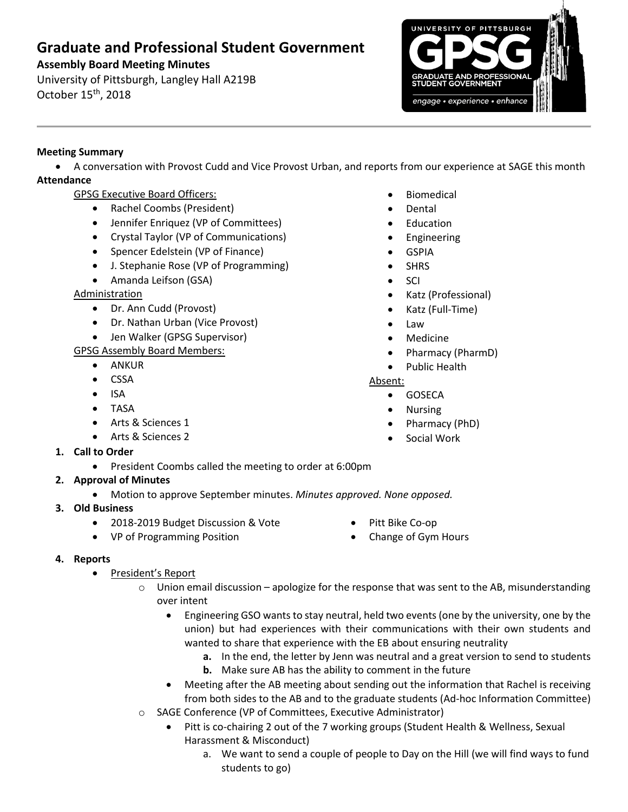# **Graduate and Professional Student Government**

## **Assembly Board Meeting Minutes**

University of Pittsburgh, Langley Hall A219B October 15th, 2018



## **Meeting Summary**

 A conversation with Provost Cudd and Vice Provost Urban, and reports from our experience at SAGE this month **Attendance**

- GPSG Executive Board Officers:
	- Rachel Coombs (President)
	- Jennifer Enriquez (VP of Committees)
	- Crystal Taylor (VP of Communications)
	- Spencer Edelstein (VP of Finance)
	- J. Stephanie Rose (VP of Programming)
	- Amanda Leifson (GSA)

## Administration

- Dr. Ann Cudd (Provost)
- Dr. Nathan Urban (Vice Provost)
- Jen Walker (GPSG Supervisor)
- GPSG Assembly Board Members:
	- ANKUR
	- CSSA
	- $\bullet$  ISA
	- TASA
	- Arts & Sciences 1
	- Arts & Sciences 2
- **1. Call to Order**
	- President Coombs called the meeting to order at 6:00pm
- **2. Approval of Minutes** 
	- Motion to approve September minutes. *Minutes approved. None opposed.*
- **3. Old Business**
	- 2018-2019 Budget Discussion & Vote
	- VP of Programming Position
- Pitt Bike Co-op
- Change of Gym Hours

## **4. Reports**

- President's Report
	- $\circ$  Union email discussion apologize for the response that was sent to the AB, misunderstanding over intent
		- Engineering GSO wants to stay neutral, held two events (one by the university, one by the union) but had experiences with their communications with their own students and wanted to share that experience with the EB about ensuring neutrality
			- **a.** In the end, the letter by Jenn was neutral and a great version to send to students
			- **b.** Make sure AB has the ability to comment in the future
		- Meeting after the AB meeting about sending out the information that Rachel is receiving from both sides to the AB and to the graduate students (Ad-hoc Information Committee)
	- o SAGE Conference (VP of Committees, Executive Administrator)
		- Pitt is co-chairing 2 out of the 7 working groups (Student Health & Wellness, Sexual Harassment & Misconduct)
			- a. We want to send a couple of people to Day on the Hill (we will find ways to fund students to go)
- Biomedical
- Dental
- Education
- Engineering
- GSPIA
- SHRS
- SCI
- Katz (Professional)
- Katz (Full-Time)
- Law
- Medicine
- Pharmacy (PharmD)
- Public Health

## Absent:

- **•** GOSECA
- Nursing
- Pharmacy (PhD)
- Social Work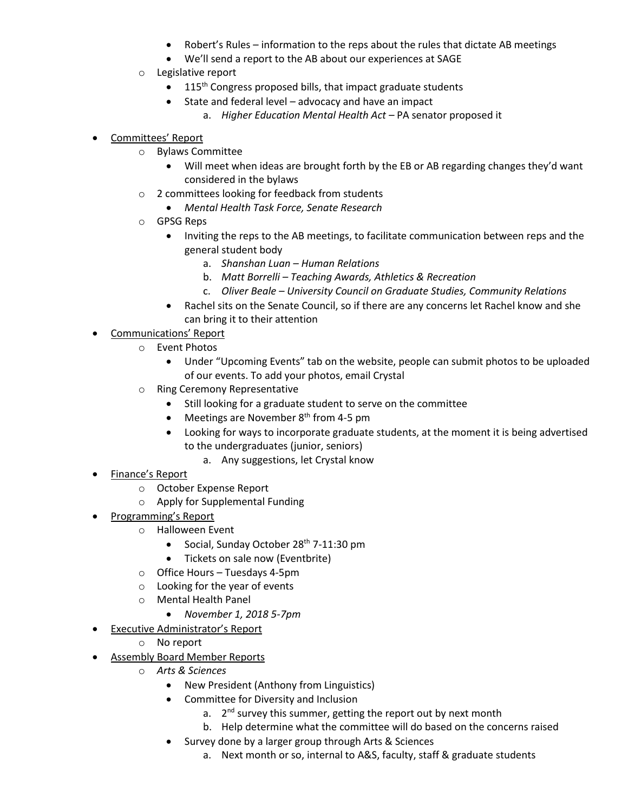- Robert's Rules information to the reps about the rules that dictate AB meetings
- We'll send a report to the AB about our experiences at SAGE
- o Legislative report
	- $\bullet$  115<sup>th</sup> Congress proposed bills, that impact graduate students
	- State and federal level advocacy and have an impact
		- a. *Higher Education Mental Health Act –* PA senator proposed it
- Committees' Report
	- o Bylaws Committee
		- Will meet when ideas are brought forth by the EB or AB regarding changes they'd want considered in the bylaws
	- o 2 committees looking for feedback from students
		- *Mental Health Task Force, Senate Research*
	- o GPSG Reps
		- Inviting the reps to the AB meetings, to facilitate communication between reps and the general student body
			- a. *Shanshan Luan – Human Relations*
			- b. *Matt Borrelli – Teaching Awards, Athletics & Recreation*
			- c. *Oliver Beale – University Council on Graduate Studies, Community Relations*
		- Rachel sits on the Senate Council, so if there are any concerns let Rachel know and she can bring it to their attention
- Communications' Report
	- o Event Photos
		- Under "Upcoming Events" tab on the website, people can submit photos to be uploaded of our events. To add your photos, email Crystal
	- o Ring Ceremony Representative
		- Still looking for a graduate student to serve on the committee
		- $\bullet$  Meetings are November 8<sup>th</sup> from 4-5 pm
		- Looking for ways to incorporate graduate students, at the moment it is being advertised to the undergraduates (junior, seniors)
			- a. Any suggestions, let Crystal know
- Finance's Report
	- o October Expense Report
	- o Apply for Supplemental Funding
- Programming's Report
	- o Halloween Event
		- Social, Sunday October 28<sup>th</sup> 7-11:30 pm
		- Tickets on sale now (Eventbrite)
	- o Office Hours Tuesdays 4-5pm
	- o Looking for the year of events
	- o Mental Health Panel
		- *November 1, 2018 5-7pm*
- Executive Administrator's Report
	- o No report
- Assembly Board Member Reports
	- o *Arts & Sciences*
		- New President (Anthony from Linguistics)
		- Committee for Diversity and Inclusion
			- a. 2<sup>nd</sup> survey this summer, getting the report out by next month
			- b. Help determine what the committee will do based on the concerns raised
		- Survey done by a larger group through Arts & Sciences
			- a. Next month or so, internal to A&S, faculty, staff & graduate students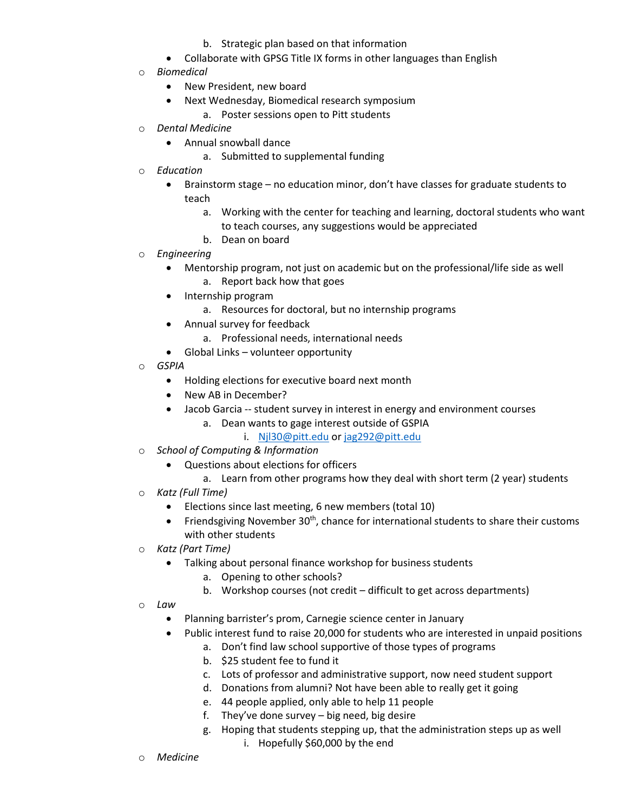- b. Strategic plan based on that information
- Collaborate with GPSG Title IX forms in other languages than English
- **Biomedical** 
	- New President, new board
		- Next Wednesday, Biomedical research symposium
		- a. Poster sessions open to Pitt students
- o *Dental Medicine*
	- Annual snowball dance
		- a. Submitted to supplemental funding
- o *Education*
	- Brainstorm stage no education minor, don't have classes for graduate students to teach
		- a. Working with the center for teaching and learning, doctoral students who want to teach courses, any suggestions would be appreciated
		- b. Dean on board
- o *Engineering*
	- Mentorship program, not just on academic but on the professional/life side as well a. Report back how that goes
	- Internship program
		- a. Resources for doctoral, but no internship programs
	- Annual survey for feedback
		- a. Professional needs, international needs
	- Global Links volunteer opportunity
- o *GSPIA*
	- Holding elections for executive board next month
	- New AB in December?
	- Jacob Garcia -- student survey in interest in energy and environment courses
		- a. Dean wants to gage interest outside of GSPIA
			- i. [Njl30@pitt.edu](mailto:Njl30@pitt.edu) o[r jag292@pitt.edu](mailto:jag292@pitt.edu)
- o *School of Computing & Information*
	- Questions about elections for officers
		- a. Learn from other programs how they deal with short term (2 year) students
- o *Katz (Full Time)*
	- Elections since last meeting, 6 new members (total 10)
	- Friendsgiving November  $30<sup>th</sup>$ , chance for international students to share their customs with other students
- o *Katz (Part Time)*
	- Talking about personal finance workshop for business students
		- a. Opening to other schools?
		- b. Workshop courses (not credit difficult to get across departments)
- o *Law*
	- Planning barrister's prom, Carnegie science center in January
	- Public interest fund to raise 20,000 for students who are interested in unpaid positions
		- a. Don't find law school supportive of those types of programs
		- b. \$25 student fee to fund it
		- c. Lots of professor and administrative support, now need student support
		- d. Donations from alumni? Not have been able to really get it going
		- e. 44 people applied, only able to help 11 people
		- f. They've done survey big need, big desire
		- g. Hoping that students stepping up, that the administration steps up as well i. Hopefully \$60,000 by the end
- o *Medicine*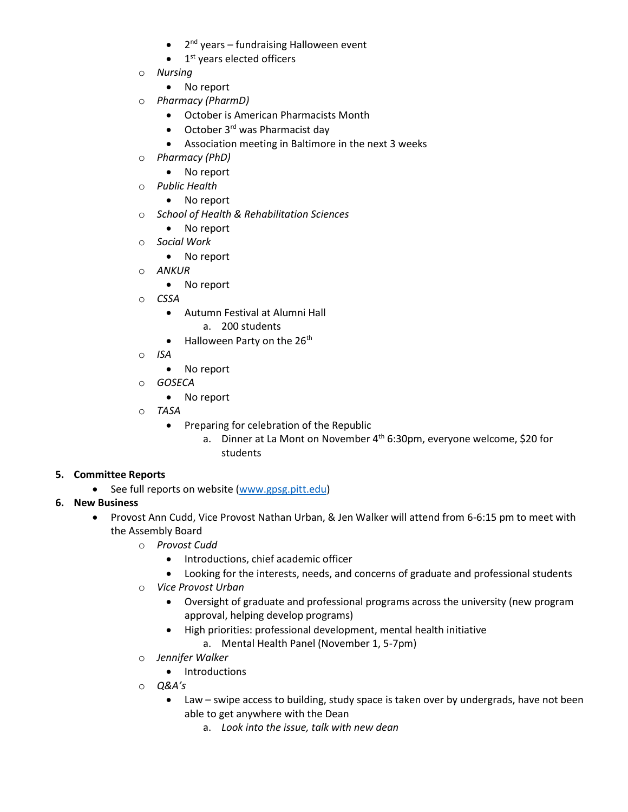- 2<sup>nd</sup> years fundraising Halloween event
- $\bullet$  1<sup>st</sup> years elected officers
- o *Nursing* 
	- No report
- o *Pharmacy (PharmD)*
	- October is American Pharmacists Month
	- $\bullet$  October 3<sup>rd</sup> was Pharmacist day
	- Association meeting in Baltimore in the next 3 weeks
- o *Pharmacy (PhD)*
	- No report
- o *Public Health*
	- No report
- o *School of Health & Rehabilitation Sciences*
	- No report
- o *Social Work*
	- No report
- o *ANKUR* 
	- No report
- o *CSSA* 
	- Autumn Festival at Alumni Hall
		- a. 200 students
	- $\bullet$  Halloween Party on the 26<sup>th</sup>
- o *ISA* 
	- No report
- o *GOSECA*
	- No report
- o *TASA*
	- **•** Preparing for celebration of the Republic
		- a. Dinner at La Mont on November  $4^{th}$  6:30pm, everyone welcome, \$20 for students

## **5. Committee Reports**

• See full reports on website [\(www.gpsg.pitt.edu\)](http://www.gpsg.pitt.edu/)

## **6. New Business**

- Provost Ann Cudd, Vice Provost Nathan Urban, & Jen Walker will attend from 6-6:15 pm to meet with the Assembly Board
	- o *Provost Cudd*
		- **•** Introductions, chief academic officer
		- Looking for the interests, needs, and concerns of graduate and professional students
	- o *Vice Provost Urban*
		- Oversight of graduate and professional programs across the university (new program approval, helping develop programs)
		- High priorities: professional development, mental health initiative
			- a. Mental Health Panel (November 1, 5-7pm)
	- o *Jennifer Walker*
		- Introductions
	- o *Q&A's*
		- Law swipe access to building, study space is taken over by undergrads, have not been able to get anywhere with the Dean
			- a. *Look into the issue, talk with new dean*